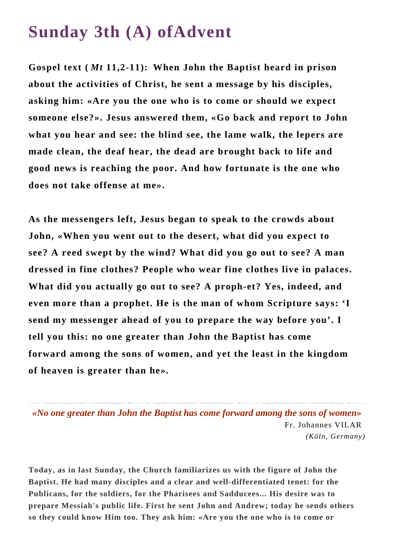## **Sunday 3th (A) ofAdvent**

**Gospel text (** *Mt* **11,2-11): When John the Baptist heard in prison about the activities of Christ, he sent a message by his disciples, asking him: «Are you the one who is to come or should we expect someone else?». Jesus answered them, «Go back and report to John what you hear and see: the blind see, the lame walk, the lepers are made clean, the deaf hear, the dead are brought back to life and good news is reaching the poor. And how fortunate is the one who does not take offense at me».**

**As the messengers left, Jesus began to speak to the crowds about John, «When you went out to the desert, what did you expect to see? A reed swept by the wind? What did you go out to see? A man dressed in fine clothes? People who wear fine clothes live in palaces. What did you actually go out to see? A proph-et? Yes, indeed, and even more than a prophet. He is the man of whom Scripture says: 'I send my messenger ahead of you to prepare the way before you'. I tell you this: no one greater than John the Baptist has come forward among the sons of women, and yet the least in the kingdom of heaven is greater than he».**

*«No one greater than John the Baptist has come forward among the sons of women»* Fr. Johannes VILAR *(Köln, Germany)*

**Today, as in last Sunday, the Church familiarizes us with the figure of John the Baptist. He had many disciples and a clear and well-differentiated tenet: for the Publicans, for the soldiers, for the Pharisees and Sadducees... His desire was to prepare Messiah's public life. First he sent John and Andrew; today he sends others so they could know Him too. They ask him: «Are you the one who is to come or**